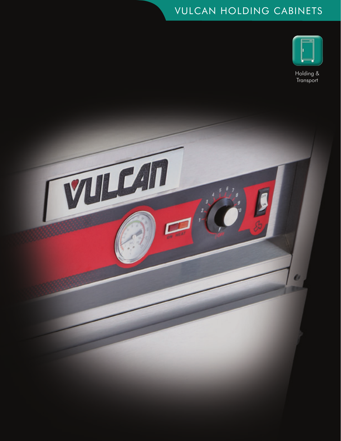## VULCAN HOLDING CABINETS



Holding & **Transport** 

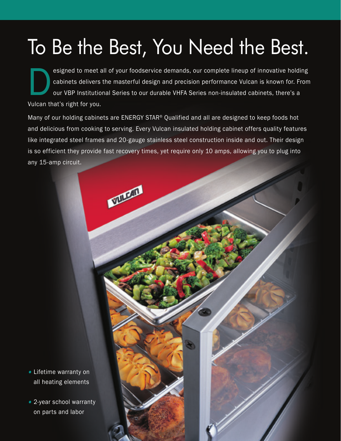## To Be the Best, You Need the Best.

esigned to meet all of your foodservice demands, our complete lineup of innovative holding<br>cabinets delivers the masterful design and precision performance Vulcan is known for. From<br>our VBP Institutional Series to our dura cabinets delivers the masterful design and precision performance Vulcan is known for. From our VBP Institutional Series to our durable VHFA Series non-insulated cabinets, there's a Vulcan that's right for you.

Many of our holding cabinets are ENERGY STAR® Qualified and all are designed to keep foods hot and delicious from cooking to serving. Every Vulcan insulated holding cabinet offers quality features like integrated steel frames and 20-gauge stainless steel construction inside and out. Their design is so efficient they provide fast recovery times, yet require only 10 amps, allowing you to plug into any 15-amp circuit.

**MARKETIN** 



• 2-year school warranty on parts and labor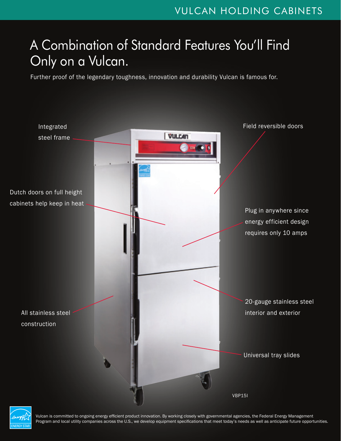## A Combination of Standard Features You'll Find Only on a Vulcan.

Further proof of the legendary toughness, innovation and durability Vulcan is famous for.





Vulcan is committed to ongoing energy efficient product innovation. By working closely with governmental agencies, the Federal Energy Management Program and local utility companies across the U.S., we develop equipment specifications that meet today's needs as well as anticipate future opportunities.